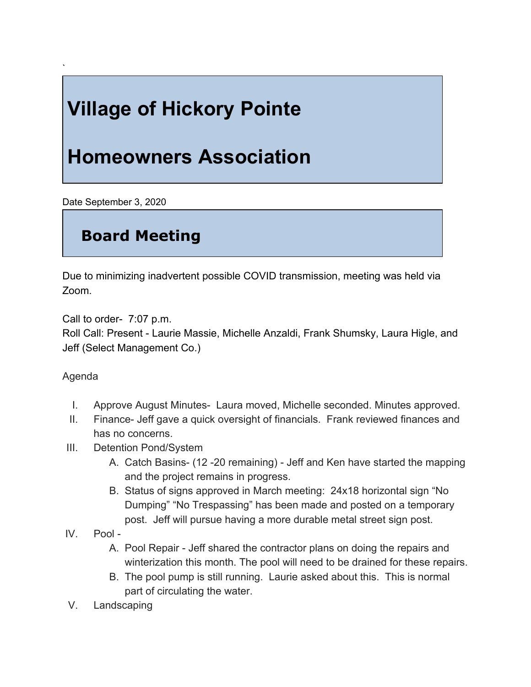## **Village of Hickory Pointe**

## **Homeowners Association**

Date September 3, 2020

`

## **Board Meeting**

Due to minimizing inadvertent possible COVID transmission, meeting was held via Zoom.

Call to order- 7:07 p.m.

Roll Call: Present - Laurie Massie, Michelle Anzaldi, Frank Shumsky, Laura Higle, and Jeff (Select Management Co.)

## Agenda

- I. Approve August Minutes- Laura moved, Michelle seconded. Minutes approved.
- II. Finance- Jeff gave a quick oversight of financials. Frank reviewed finances and has no concerns.
- III. Detention Pond/System
	- A. Catch Basins- (12 -20 remaining) Jeff and Ken have started the mapping and the project remains in progress.
	- B. Status of signs approved in March meeting: 24x18 horizontal sign "No Dumping" "No Trespassing" has been made and posted on a temporary post. Jeff will pursue having a more durable metal street sign post.
- IV. Pool
	- A. Pool Repair Jeff shared the contractor plans on doing the repairs and winterization this month. The pool will need to be drained for these repairs.
	- B. The pool pump is still running. Laurie asked about this. This is normal part of circulating the water.
- V. Landscaping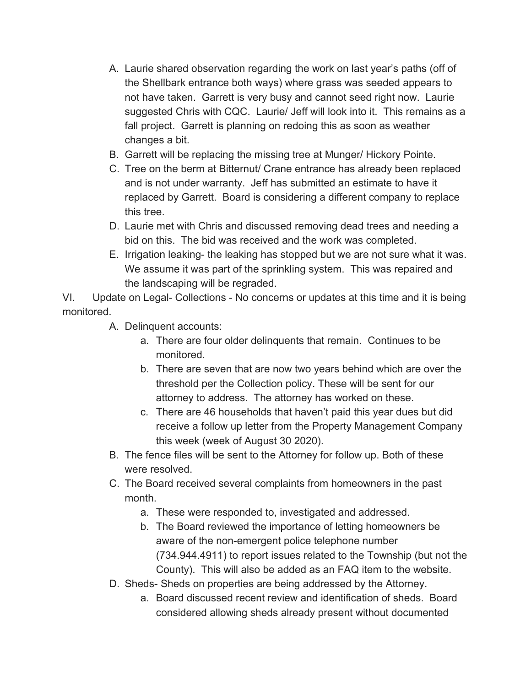- A. Laurie shared observation regarding the work on last year's paths (off of the Shellbark entrance both ways) where grass was seeded appears to not have taken. Garrett is very busy and cannot seed right now. Laurie suggested Chris with CQC. Laurie/ Jeff will look into it. This remains as a fall project. Garrett is planning on redoing this as soon as weather changes a bit.
- B. Garrett will be replacing the missing tree at Munger/ Hickory Pointe.
- C. Tree on the berm at Bitternut/ Crane entrance has already been replaced and is not under warranty. Jeff has submitted an estimate to have it replaced by Garrett. Board is considering a different company to replace this tree.
- D. Laurie met with Chris and discussed removing dead trees and needing a bid on this. The bid was received and the work was completed.
- E. Irrigation leaking- the leaking has stopped but we are not sure what it was. We assume it was part of the sprinkling system. This was repaired and the landscaping will be regraded.

VI. Update on Legal- Collections - No concerns or updates at this time and it is being monitored.

- A. Delinquent accounts:
	- a. There are four older delinquents that remain. Continues to be monitored.
	- b. There are seven that are now two years behind which are over the threshold per the Collection policy. These will be sent for our attorney to address. The attorney has worked on these.
	- c. There are 46 households that haven't paid this year dues but did receive a follow up letter from the Property Management Company this week (week of August 30 2020).
- B. The fence files will be sent to the Attorney for follow up. Both of these were resolved.
- C. The Board received several complaints from homeowners in the past month.
	- a. These were responded to, investigated and addressed.
	- b. The Board reviewed the importance of letting homeowners be aware of the non-emergent police telephone number (734.944.4911) to report issues related to the Township (but not the County). This will also be added as an FAQ item to the website.
- D. Sheds- Sheds on properties are being addressed by the Attorney.
	- a. Board discussed recent review and identification of sheds. Board considered allowing sheds already present without documented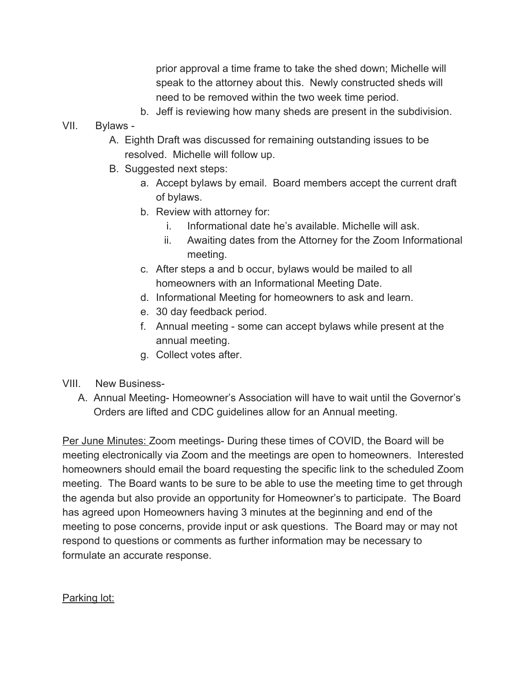prior approval a time frame to take the shed down; Michelle will speak to the attorney about this. Newly constructed sheds will need to be removed within the two week time period.

- b. Jeff is reviewing how many sheds are present in the subdivision.
- VII. Bylaws
	- A. Eighth Draft was discussed for remaining outstanding issues to be resolved. Michelle will follow up.
	- B. Suggested next steps:
		- a. Accept bylaws by email. Board members accept the current draft of bylaws.
		- b. Review with attorney for:
			- i. Informational date he's available. Michelle will ask.
			- ii. Awaiting dates from the Attorney for the Zoom Informational meeting.
		- c. After steps a and b occur, bylaws would be mailed to all homeowners with an Informational Meeting Date.
		- d. Informational Meeting for homeowners to ask and learn.
		- e. 30 day feedback period.
		- f. Annual meeting some can accept bylaws while present at the annual meeting.
		- g. Collect votes after.
- VIII. New Business-
	- A. Annual Meeting- Homeowner's Association will have to wait until the Governor's Orders are lifted and CDC guidelines allow for an Annual meeting.

Per June Minutes: Zoom meetings- During these times of COVID, the Board will be meeting electronically via Zoom and the meetings are open to homeowners. Interested homeowners should email the board requesting the specific link to the scheduled Zoom meeting. The Board wants to be sure to be able to use the meeting time to get through the agenda but also provide an opportunity for Homeowner's to participate. The Board has agreed upon Homeowners having 3 minutes at the beginning and end of the meeting to pose concerns, provide input or ask questions. The Board may or may not respond to questions or comments as further information may be necessary to formulate an accurate response.

Parking lot: